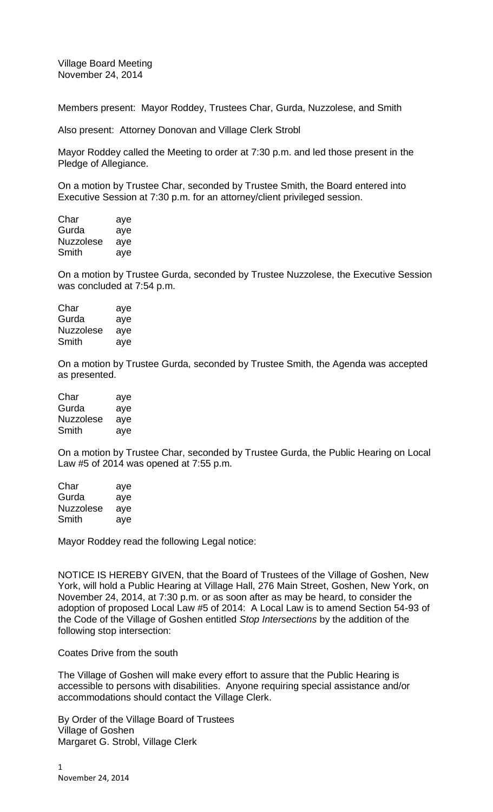Village Board Meeting November 24, 2014

Members present: Mayor Roddey, Trustees Char, Gurda, Nuzzolese, and Smith

Also present: Attorney Donovan and Village Clerk Strobl

Mayor Roddey called the Meeting to order at 7:30 p.m. and led those present in the Pledge of Allegiance.

On a motion by Trustee Char, seconded by Trustee Smith, the Board entered into Executive Session at 7:30 p.m. for an attorney/client privileged session.

| Char      | aye |
|-----------|-----|
| Gurda     | aye |
| Nuzzolese | aye |
| Smith     | aye |

On a motion by Trustee Gurda, seconded by Trustee Nuzzolese, the Executive Session was concluded at 7:54 p.m.

| Char             | aye |
|------------------|-----|
| Gurda            | aye |
| <b>Nuzzolese</b> | aye |
| Smith            | aye |

On a motion by Trustee Gurda, seconded by Trustee Smith, the Agenda was accepted as presented.

| Char      | aye |
|-----------|-----|
| Gurda     | aye |
| Nuzzolese | aye |
| Smith     | aye |

On a motion by Trustee Char, seconded by Trustee Gurda, the Public Hearing on Local Law #5 of 2014 was opened at 7:55 p.m.

| Char      | aye |
|-----------|-----|
| Gurda     | aye |
| Nuzzolese | ave |
| Smith     | aye |

Mayor Roddey read the following Legal notice:

NOTICE IS HEREBY GIVEN, that the Board of Trustees of the Village of Goshen, New York, will hold a Public Hearing at Village Hall, 276 Main Street, Goshen, New York, on November 24, 2014, at 7:30 p.m. or as soon after as may be heard, to consider the adoption of proposed Local Law #5 of 2014: A Local Law is to amend Section 54-93 of the Code of the Village of Goshen entitled *Stop Intersections* by the addition of the following stop intersection:

## Coates Drive from the south

The Village of Goshen will make every effort to assure that the Public Hearing is accessible to persons with disabilities. Anyone requiring special assistance and/or accommodations should contact the Village Clerk.

By Order of the Village Board of Trustees Village of Goshen Margaret G. Strobl, Village Clerk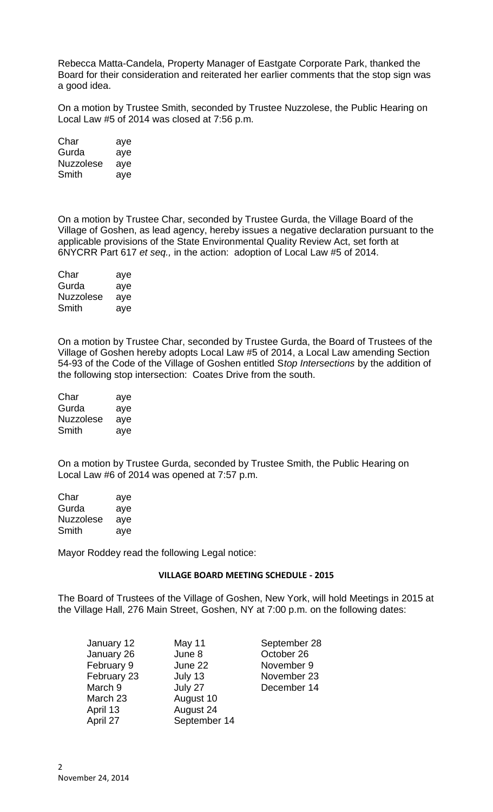Rebecca Matta-Candela, Property Manager of Eastgate Corporate Park, thanked the Board for their consideration and reiterated her earlier comments that the stop sign was a good idea.

On a motion by Trustee Smith, seconded by Trustee Nuzzolese, the Public Hearing on Local Law #5 of 2014 was closed at 7:56 p.m.

| Char             | aye |
|------------------|-----|
| Gurda            | aye |
| <b>Nuzzolese</b> | aye |
| Smith            | aye |

On a motion by Trustee Char, seconded by Trustee Gurda, the Village Board of the Village of Goshen, as lead agency, hereby issues a negative declaration pursuant to the applicable provisions of the State Environmental Quality Review Act, set forth at 6NYCRR Part 617 *et seq.,* in the action: adoption of Local Law #5 of 2014.

| Char      | aye |
|-----------|-----|
| Gurda     | aye |
| Nuzzolese | aye |
| Smith     | aye |

On a motion by Trustee Char, seconded by Trustee Gurda, the Board of Trustees of the Village of Goshen hereby adopts Local Law #5 of 2014, a Local Law amending Section 54-93 of the Code of the Village of Goshen entitled S*top Intersections* by the addition of the following stop intersection: Coates Drive from the south.

| Char      | aye |
|-----------|-----|
| Gurda     | aye |
| Nuzzolese | aye |
| Smith     | aye |

On a motion by Trustee Gurda, seconded by Trustee Smith, the Public Hearing on Local Law #6 of 2014 was opened at 7:57 p.m.

| Char             | aye |
|------------------|-----|
| Gurda            | aye |
| <b>Nuzzolese</b> | aye |
| Smith            | aye |

Mayor Roddey read the following Legal notice:

## **VILLAGE BOARD MEETING SCHEDULE - 2015**

The Board of Trustees of the Village of Goshen, New York, will hold Meetings in 2015 at the Village Hall, 276 Main Street, Goshen, NY at 7:00 p.m. on the following dates:

| January 12  | May 11       | September 28 |
|-------------|--------------|--------------|
| January 26  | June 8       | October 26   |
| February 9  | June 22      | November 9   |
| February 23 | July 13      | November 23  |
| March 9     | July 27      | December 14  |
| March 23    | August 10    |              |
| April 13    | August 24    |              |
| April 27    | September 14 |              |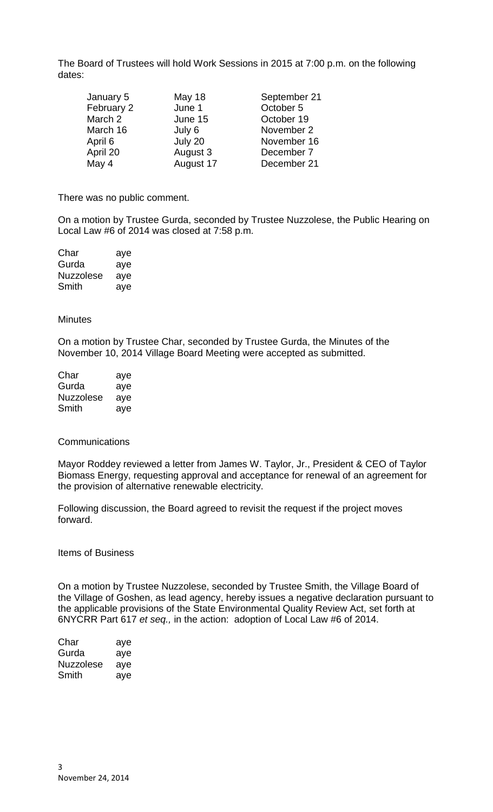The Board of Trustees will hold Work Sessions in 2015 at 7:00 p.m. on the following dates:

| January 5  | May 18    | September 21 |
|------------|-----------|--------------|
| February 2 | June 1    | October 5    |
| March 2    | June 15   | October 19   |
| March 16   | July 6    | November 2   |
| April 6    | July 20   | November 16  |
| April 20   | August 3  | December 7   |
| May 4      | August 17 | December 21  |

There was no public comment.

On a motion by Trustee Gurda, seconded by Trustee Nuzzolese, the Public Hearing on Local Law #6 of 2014 was closed at 7:58 p.m.

| Char      | aye |
|-----------|-----|
| Gurda     | aye |
| Nuzzolese | aye |
| Smith     | aye |

**Minutes** 

On a motion by Trustee Char, seconded by Trustee Gurda, the Minutes of the November 10, 2014 Village Board Meeting were accepted as submitted.

| Char      | aye |
|-----------|-----|
| Gurda     | aye |
| Nuzzolese | aye |
| Smith     | ave |

## **Communications**

Mayor Roddey reviewed a letter from James W. Taylor, Jr., President & CEO of Taylor Biomass Energy, requesting approval and acceptance for renewal of an agreement for the provision of alternative renewable electricity.

Following discussion, the Board agreed to revisit the request if the project moves forward.

Items of Business

On a motion by Trustee Nuzzolese, seconded by Trustee Smith, the Village Board of the Village of Goshen, as lead agency, hereby issues a negative declaration pursuant to the applicable provisions of the State Environmental Quality Review Act, set forth at 6NYCRR Part 617 *et seq.,* in the action: adoption of Local Law #6 of 2014.

| Char      | aye |
|-----------|-----|
| Gurda     | aye |
| Nuzzolese | aye |
| Smith     | ave |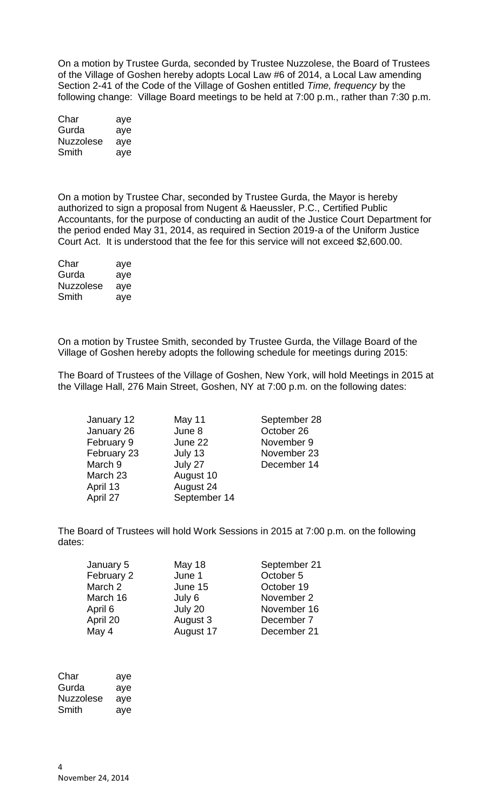On a motion by Trustee Gurda, seconded by Trustee Nuzzolese, the Board of Trustees of the Village of Goshen hereby adopts Local Law #6 of 2014, a Local Law amending Section 2-41 of the Code of the Village of Goshen entitled *Time, frequency* by the following change: Village Board meetings to be held at 7:00 p.m., rather than 7:30 p.m.

| Char             | aye |
|------------------|-----|
| Gurda            | aye |
| <b>Nuzzolese</b> | aye |
| Smith            | aye |

On a motion by Trustee Char, seconded by Trustee Gurda, the Mayor is hereby authorized to sign a proposal from Nugent & Haeussler, P.C., Certified Public Accountants, for the purpose of conducting an audit of the Justice Court Department for the period ended May 31, 2014, as required in Section 2019-a of the Uniform Justice Court Act. It is understood that the fee for this service will not exceed \$2,600.00.

| Char             | aye |
|------------------|-----|
| Gurda            | aye |
| <b>Nuzzolese</b> | aye |
| Smith            | aye |

On a motion by Trustee Smith, seconded by Trustee Gurda, the Village Board of the Village of Goshen hereby adopts the following schedule for meetings during 2015:

The Board of Trustees of the Village of Goshen, New York, will hold Meetings in 2015 at the Village Hall, 276 Main Street, Goshen, NY at 7:00 p.m. on the following dates:

| May 11       | September 28 |
|--------------|--------------|
| June 8       | October 26   |
| June 22      | November 9   |
| July 13      | November 23  |
| July 27      | December 14  |
| August 10    |              |
| August 24    |              |
| September 14 |              |
|              |              |

The Board of Trustees will hold Work Sessions in 2015 at 7:00 p.m. on the following dates:

| January 5  | May 18    | September 21 |
|------------|-----------|--------------|
| February 2 | June 1    | October 5    |
| March 2    | June 15   | October 19   |
| March 16   | July 6    | November 2   |
| April 6    | July 20   | November 16  |
| April 20   | August 3  | December 7   |
| May 4      | August 17 | December 21  |

| aye |
|-----|
| aye |
| aye |
| ave |
|     |